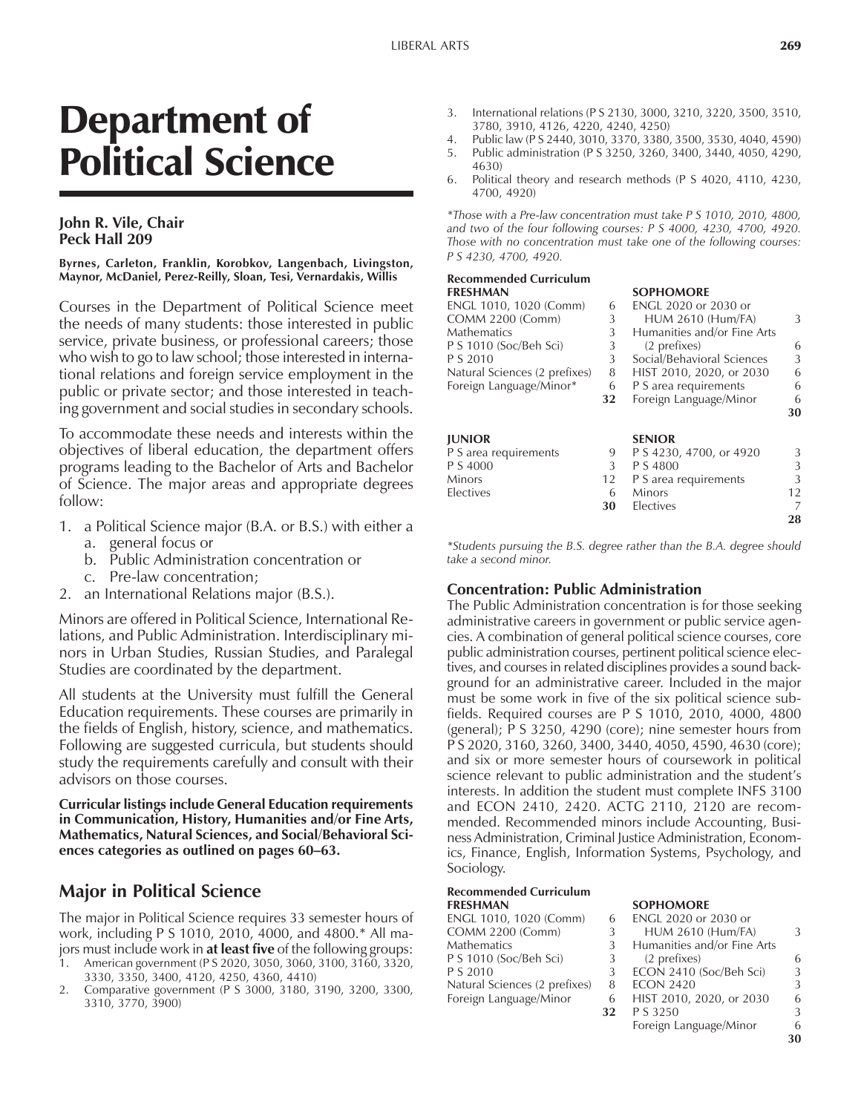**28**

# Department of Political Science

#### **John R. Vile, Chair Peck Hall 209**

#### **Byrnes, Carleton, Franklin, Korobkov, Langenbach, Livingston, Maynor, McDaniel, Perez-Reilly, Sloan, Tesi, Vernardakis, Willis**

Courses in the Department of Political Science meet the needs of many students: those interested in public service, private business, or professional careers; those who wish to go to law school; those interested in international relations and foreign service employment in the public or private sector; and those interested in teaching government and social studies in secondary schools.

To accommodate these needs and interests within the objectives of liberal education, the department offers programs leading to the Bachelor of Arts and Bachelor of Science. The major areas and appropriate degrees follow:

- 1. a Political Science major (B.A. or B.S.) with either a
	- a. general focus or
	- b. Public Administration concentration or
	- c. Pre-law concentration;
- 2. an International Relations major (B.S.).

Minors are offered in Political Science, International Relations, and Public Administration. Interdisciplinary minors in Urban Studies, Russian Studies, and Paralegal Studies are coordinated by the department.

All students at the University must fulfill the General Education requirements. These courses are primarily in the fields of English, history, science, and mathematics. Following are suggested curricula, but students should study the requirements carefully and consult with their advisors on those courses.

**Curricular listings include General Education requirements in Communication, History, Humanities and/or Fine Arts, Mathematics, Natural Sciences, and Social/Behavioral Sci**ences categories as outlined on pages 60-63.

## **Major in Political Science**

The major in Political Science requires 33 semester hours of work, including P S 1010, 2010, 4000, and 4800.\* All majors must include work in **at least five** of the following groups:

- 1. American government (P S 2020, 3050, 3060, 3100, 3160, 3320, 3330, 3350, 3400, 4120, 4250, 4360, 4410)
- 2. Comparative government (P S 3000, 3180, 3190, 3200, 3300, 3310, 3770, 3900)
- 3. International relations (P S 2130, 3000, 3210, 3220, 3500, 3510, 3780, 3910, 4126, 4220, 4240, 4250)
- 
- 4. Public law (P S 2440, 3010, 3370, 3380, 3500, 3530, 4040, 4590) 5. Public administration (P S 3250, 3260, 3400, 3440, 4050, 4290, 4630)
- 6. Political theory and research methods (P S 4020, 4110, 4230, 4700, 4920)

*\*Those with a Pre-law concentration must take P S 1010, 2010, 4800, and two of the four following courses: P S 4000, 4230, 4700, 4920. Those with no concentration must take one of the following courses: P S 4230, 4700, 4920.*

## **Recommended Curriculum**

| FRESHMAN                      |    | <b>SOPHOMORE</b>            |    |
|-------------------------------|----|-----------------------------|----|
| ENGL 1010, 1020 (Comm)        | 6  | <b>ENGL 2020 or 2030 or</b> |    |
| <b>COMM 2200 (Comm)</b>       | 3  | <b>HUM 2610 (Hum/FA)</b>    | 3  |
| Mathematics                   | 3  | Humanities and/or Fine Arts |    |
| P S 1010 (Soc/Beh Sci)        | 3  | (2 prefixes)                | 6  |
| P S 2010                      | 3  | Social/Behavioral Sciences  | 3  |
| Natural Sciences (2 prefixes) | 8  | HIST 2010, 2020, or 2030    | 6  |
| Foreign Language/Minor*       | 6  | P S area requirements       | 6  |
|                               | 32 | Foreign Language/Minor      | 6  |
|                               |    |                             | 30 |
| <b>JUNIOR</b>                 |    | <b>SENIOR</b>               |    |
| P S area requirements         | 9  | P S 4230, 4700, or 4920     | 3  |
| P S 4000                      | 3  | P S 4800                    | 3  |
| Minors                        | 12 | P S area requirements       | 3  |
| Electives                     | 6  | <b>Minors</b>               | 12 |
|                               | 30 | Electives                   | 7  |

*\*Students pursuing the B.S. degree rather than the B.A. degree should take a second minor.*

### **Concentration: Public Administration**

The Public Administration concentration is for those seeking administrative careers in government or public service agencies. A combination of general political science courses, core public administration courses, pertinent political science electives, and courses in related disciplines provides a sound background for an administrative career. Included in the major must be some work in five of the six political science subfields. Required courses are P S 1010, 2010, 4000, 4800 (general); P S 3250, 4290 (core); nine semester hours from P S 2020, 3160, 3260, 3400, 3440, 4050, 4590, 4630 (core); and six or more semester hours of coursework in political science relevant to public administration and the student's interests. In addition the student must complete INFS 3100 and ECON 2410, 2420. ACTG 2110, 2120 are recommended. Recommended minors include Accounting, Business Administration, Criminal Justice Administration, Economics, Finance, English, Information Systems, Psychology, and Sociology.

#### **Recommended Curriculum FRESHMAN SOPHOMORE**

| ENGL 1010, 1020 (Comm)        | 6  | ENGL 2020 or 2030 or        |   |
|-------------------------------|----|-----------------------------|---|
| <b>COMM 2200 (Comm)</b>       |    | <b>HUM 2610 (Hum/FA)</b>    | 3 |
| Mathematics                   |    | Humanities and/or Fine Arts |   |
| P S 1010 (Soc/Beh Sci)        |    | (2 prefixes)                | 6 |
| P S 2010                      | 3  | ECON 2410 (Soc/Beh Sci)     | 3 |
| Natural Sciences (2 prefixes) | 8  | <b>ECON 2420</b>            | 3 |
| Foreign Language/Minor        | 6  | HIST 2010, 2020, or 2030    | 6 |
|                               | 32 | P S 3250                    | 3 |
|                               |    | Foreign Language/Minor      | 6 |

**30**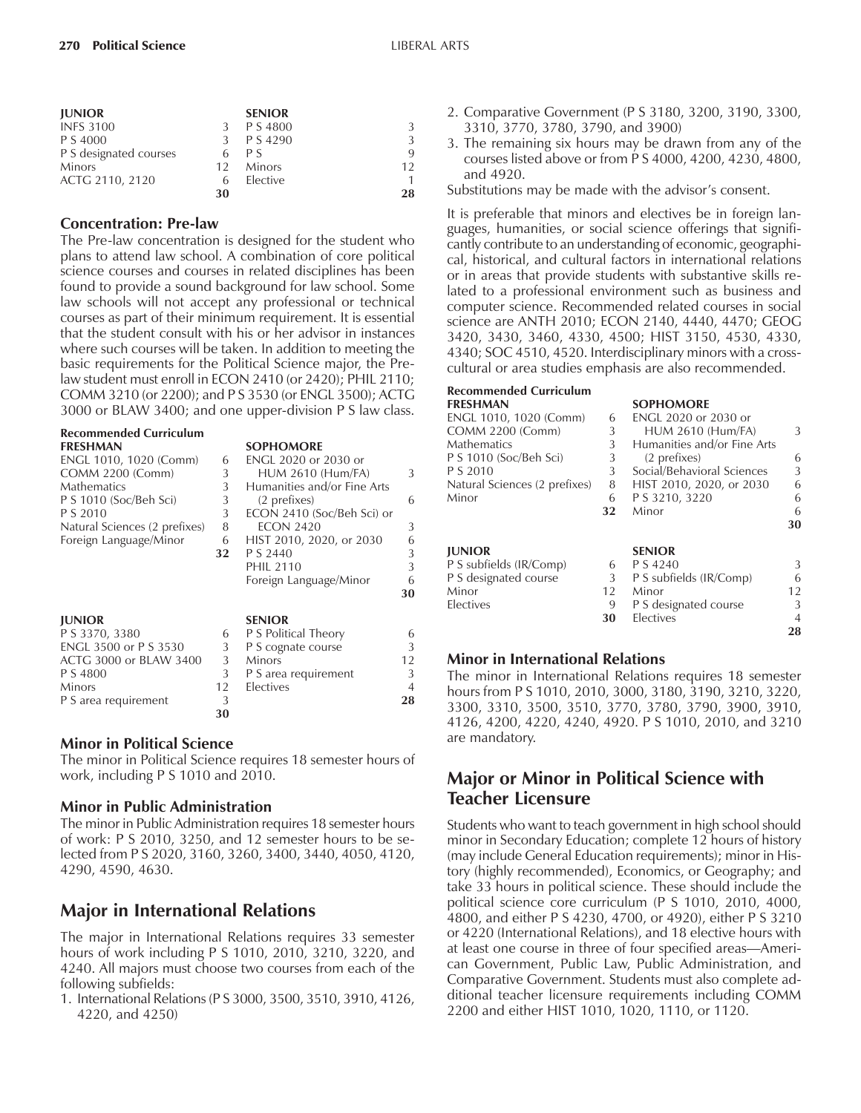| <b>JUNIOR</b>          |    | <b>SENIOR</b> |    |
|------------------------|----|---------------|----|
| <b>INFS 3100</b>       |    | P S 4800      | 3  |
| P S 4000               |    | P S 4290      | 3  |
| P S designated courses |    | P S           | 9  |
| <b>Minors</b>          | 12 | <b>Minors</b> | 12 |
| ACTG 2110, 2120        |    | Elective      | 1  |
|                        | 30 |               | 28 |

#### **Concentration: Pre-law**

The Pre-law concentration is designed for the student who plans to attend law school. A combination of core political science courses and courses in related disciplines has been found to provide a sound background for law school. Some law schools will not accept any professional or technical courses as part of their minimum requirement. It is essential that the student consult with his or her advisor in instances where such courses will be taken. In addition to meeting the basic requirements for the Political Science major, the Prelaw student must enroll in ECON 2410 (or 2420); PHIL 2110; COMM 3210 (or 2200); and P S 3530 (or ENGL 3500); ACTG 3000 or BLAW 3400; and one upper-division P S law class.

| <b>Recommended Curriculum</b> |    |                             |                |
|-------------------------------|----|-----------------------------|----------------|
| <b>FRESHMAN</b>               |    | <b>SOPHOMORE</b>            |                |
| ENGL 1010, 1020 (Comm)        | 6  | ENGL 2020 or 2030 or        |                |
| <b>COMM 2200 (Comm)</b>       | 3  | <b>HUM 2610 (Hum/FA)</b>    | 3              |
| <b>Mathematics</b>            | 3  | Humanities and/or Fine Arts |                |
| P S 1010 (Soc/Beh Sci)        | 3  | (2 prefixes)                | 6              |
| P S 2010                      | 3  | ECON 2410 (Soc/Beh Sci) or  |                |
| Natural Sciences (2 prefixes) | 8  | <b>ECON 2420</b>            | 3              |
| Foreign Language/Minor        | 6  | HIST 2010, 2020, or 2030    | 6              |
|                               | 32 | P S 2440                    | 3              |
|                               |    | <b>PHIL 2110</b>            | 3              |
|                               |    | Foreign Language/Minor      | 6              |
|                               |    |                             | 30             |
| <b>JUNIOR</b>                 |    | <b>SENIOR</b>               |                |
| P S 3370, 3380                | 6  | P S Political Theory        | 6              |
| ENGL 3500 or P S 3530         | 3  | P S cognate course          | 3              |
| ACTG 3000 or BLAW 3400        | 3  | <b>Minors</b>               | 12             |
| P S 4800                      | 3  | P S area requirement        | 3              |
| <b>Minors</b>                 | 12 | Electives                   | $\overline{4}$ |
| P S area requirement          | 3  |                             | 28             |
|                               | 30 |                             |                |

#### **Minor in Political Science**

The minor in Political Science requires 18 semester hours of work, including P S 1010 and 2010.

#### **Minor in Public Administration**

The minor in Public Administration requires 18 semester hours of work: P S 2010, 3250, and 12 semester hours to be selected from P S 2020, 3160, 3260, 3400, 3440, 4050, 4120, 4290, 4590, 4630.

## **Major in International Relations**

The major in International Relations requires 33 semester hours of work including P S 1010, 2010, 3210, 3220, and 4240. All majors must choose two courses from each of the following subfields:

1. International Relations (P S 3000, 3500, 3510, 3910, 4126, 4220, and 4250)

- 2. Comparative Government (P S 3180, 3200, 3190, 3300, 3310, 3770, 3780, 3790, and 3900)
- 3. The remaining six hours may be drawn from any of the courses listed above or from P S 4000, 4200, 4230, 4800, and 4920.
- Substitutions may be made with the advisor's consent.

It is preferable that minors and electives be in foreign languages, humanities, or social science offerings that significantly contribute to an understanding of economic, geographical, historical, and cultural factors in international relations or in areas that provide students with substantive skills related to a professional environment such as business and computer science. Recommended related courses in social science are ANTH 2010; ECON 2140, 4440, 4470; GEOG 3420, 3430, 3460, 4330, 4500; HIST 3150, 4530, 4330, 4340; SOC 4510, 4520. Interdisciplinary minors with a crosscultural or area studies emphasis are also recommended.

| <b>Recommended Curriculum</b> |    |                             |    |
|-------------------------------|----|-----------------------------|----|
| <b>FRESHMAN</b>               |    | <b>SOPHOMORE</b>            |    |
| ENGL 1010, 1020 (Comm)        | 6  | ENGL 2020 or 2030 or        |    |
| <b>COMM 2200 (Comm)</b>       | 3  | <b>HUM 2610 (Hum/FA)</b>    | 3  |
| <b>Mathematics</b>            | 3  | Humanities and/or Fine Arts |    |
| P S 1010 (Soc/Beh Sci)        | 3  | (2 prefixes)                | 6  |
| P S 2010                      | 3  | Social/Behavioral Sciences  | 3  |
| Natural Sciences (2 prefixes) | 8  | HIST 2010, 2020, or 2030    | 6  |
| Minor                         | 6  | P S 3210, 3220              | 6  |
|                               | 32 | Minor                       | 6  |
|                               |    |                             | 30 |
| <b>JUNIOR</b>                 |    | <b>SENIOR</b>               |    |
| P S subfields (IR/Comp)       | 6  | P S 4240                    | 3  |
| P S designated course         | 3  | P S subfields (IR/Comp)     | 6  |
| Minor                         | 12 | Minor                       | 12 |
| Electives                     | 9  | P S designated course       | 3  |
|                               | 30 | Electives                   | 4  |
|                               |    |                             | 28 |

#### **Minor in International Relations**

The minor in International Relations requires 18 semester hours from P S 1010, 2010, 3000, 3180, 3190, 3210, 3220, 3300, 3310, 3500, 3510, 3770, 3780, 3790, 3900, 3910, 4126, 4200, 4220, 4240, 4920. P S 1010, 2010, and 3210 are mandatory.

## **Major or Minor in Political Science with Teacher Licensure**

Students who want to teach government in high school should minor in Secondary Education; complete 12 hours of history (may include General Education requirements); minor in History (highly recommended), Economics, or Geography; and take 33 hours in political science. These should include the political science core curriculum (P S 1010, 2010, 4000, 4800, and either P S 4230, 4700, or 4920), either P S 3210 or 4220 (International Relations), and 18 elective hours with at least one course in three of four specified areas—American Government, Public Law, Public Administration, and Comparative Government. Students must also complete additional teacher licensure requirements including COMM 2200 and either HIST 1010, 1020, 1110, or 1120.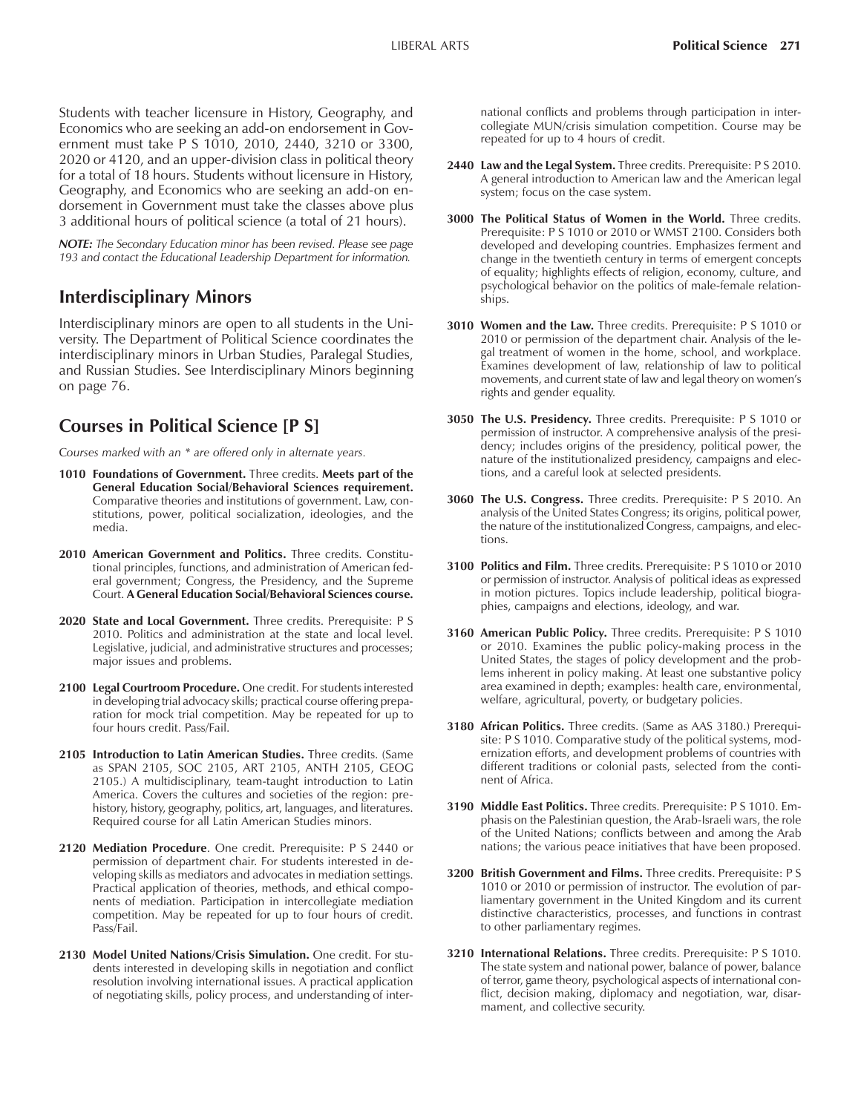Students with teacher licensure in History, Geography, and Economics who are seeking an add-on endorsement in Government must take P S 1010, 2010, 2440, 3210 or 3300, 2020 or 4120, and an upper-division class in political theory for a total of 18 hours. Students without licensure in History, Geography, and Economics who are seeking an add-on endorsement in Government must take the classes above plus 3 additional hours of political science (a total of 21 hours).

*NOTE: The Secondary Education minor has been revised. Please see page 193 and contact the Educational Leadership Department for information.*

## **Interdisciplinary Minors**

Interdisciplinary minors are open to all students in the University. The Department of Political Science coordinates the interdisciplinary minors in Urban Studies, Paralegal Studies, and Russian Studies. See Interdisciplinary Minors beginning on page 76.

## **Courses in Political Science [P S]**

C*ourses marked with an \* are offered only in alternate years.*

- **1010 Foundations of Government.** Three credits. **Meets part of the General Education Social/Behavioral Sciences requirement.** Comparative theories and institutions of government. Law, constitutions, power, political socialization, ideologies, and the media.
- **2010 American Government and Politics.** Three credits. Constitutional principles, functions, and administration of American federal government; Congress, the Presidency, and the Supreme Court. **A General Education Social/Behavioral Sciences course.**
- 2020 State and Local Government. Three credits. Prerequisite: P S 2010. Politics and administration at the state and local level. Legislative, judicial, and administrative structures and processes; major issues and problems.
- **2100 Legal Courtroom Procedure.** One credit. For students interested in developing trial advocacy skills; practical course offering preparation for mock trial competition. May be repeated for up to four hours credit. Pass/Fail.
- **2105 Introduction to Latin American Studies.** Three credits. (Same as SPAN 2105, SOC 2105, ART 2105, ANTH 2105, GEOG 2105.) A multidisciplinary, team-taught introduction to Latin America. Covers the cultures and societies of the region: prehistory, history, geography, politics, art, languages, and literatures. Required course for all Latin American Studies minors.
- 2120 Mediation Procedure. One credit. Prerequisite: P S 2440 or permission of department chair. For students interested in developing skills as mediators and advocates in mediation settings. Practical application of theories, methods, and ethical components of mediation. Participation in intercollegiate mediation competition. May be repeated for up to four hours of credit. Pass/Fail.
- **2130 Model United Nations/Crisis Simulation.** One credit. For students interested in developing skills in negotiation and conflict resolution involving international issues. A practical application of negotiating skills, policy process, and understanding of inter-

national conflicts and problems through participation in intercollegiate MUN/crisis simulation competition. Course may be repeated for up to 4 hours of credit.

- **2440 Law and the Legal System.** Three credits. Prerequisite: P S 2010. A general introduction to American law and the American legal system; focus on the case system.
- **3000 The Political Status of Women in the World.** Three credits. Prerequisite: P S 1010 or 2010 or WMST 2100. Considers both developed and developing countries. Emphasizes ferment and change in the twentieth century in terms of emergent concepts of equality; highlights effects of religion, economy, culture, and psychological behavior on the politics of male-female relationships.
- **3010 Women and the Law.** Three credits. Prerequisite: P S 1010 or 2010 or permission of the department chair. Analysis of the legal treatment of women in the home, school, and workplace. Examines development of law, relationship of law to political movements, and current state of law and legal theory on women's rights and gender equality.
- **3050 The U.S. Presidency.** Three credits. Prerequisite: P S 1010 or permission of instructor. A comprehensive analysis of the presidency; includes origins of the presidency, political power, the nature of the institutionalized presidency, campaigns and elections, and a careful look at selected presidents.
- **3060 The U.S. Congress.** Three credits. Prerequisite: P S 2010. An analysis of the United States Congress; its origins, political power, the nature of the institutionalized Congress, campaigns, and elections.
- **3100 Politics and Film.** Three credits. Prerequisite: P S 1010 or 2010 or permission of instructor. Analysis of political ideas as expressed in motion pictures. Topics include leadership, political biographies, campaigns and elections, ideology, and war.
- **3160 American Public Policy.** Three credits. Prerequisite: P S 1010 or 2010. Examines the public policy-making process in the United States, the stages of policy development and the problems inherent in policy making. At least one substantive policy area examined in depth; examples: health care, environmental, welfare, agricultural, poverty, or budgetary policies.
- **3180 African Politics.** Three credits. (Same as AAS 3180.) Prerequisite: P S 1010. Comparative study of the political systems, modernization efforts, and development problems of countries with different traditions or colonial pasts, selected from the continent of Africa.
- **3190 Middle East Politics.** Three credits. Prerequisite: P S 1010. Emphasis on the Palestinian question, the Arab-Israeli wars, the role of the United Nations; conflicts between and among the Arab nations; the various peace initiatives that have been proposed.
- **3200 British Government and Films.** Three credits. Prerequisite: P S 1010 or 2010 or permission of instructor. The evolution of parliamentary government in the United Kingdom and its current distinctive characteristics, processes, and functions in contrast to other parliamentary regimes.
- **3210 International Relations.** Three credits. Prerequisite: P S 1010. The state system and national power, balance of power, balance of terror, game theory, psychological aspects of international conflict, decision making, diplomacy and negotiation, war, disarmament, and collective security.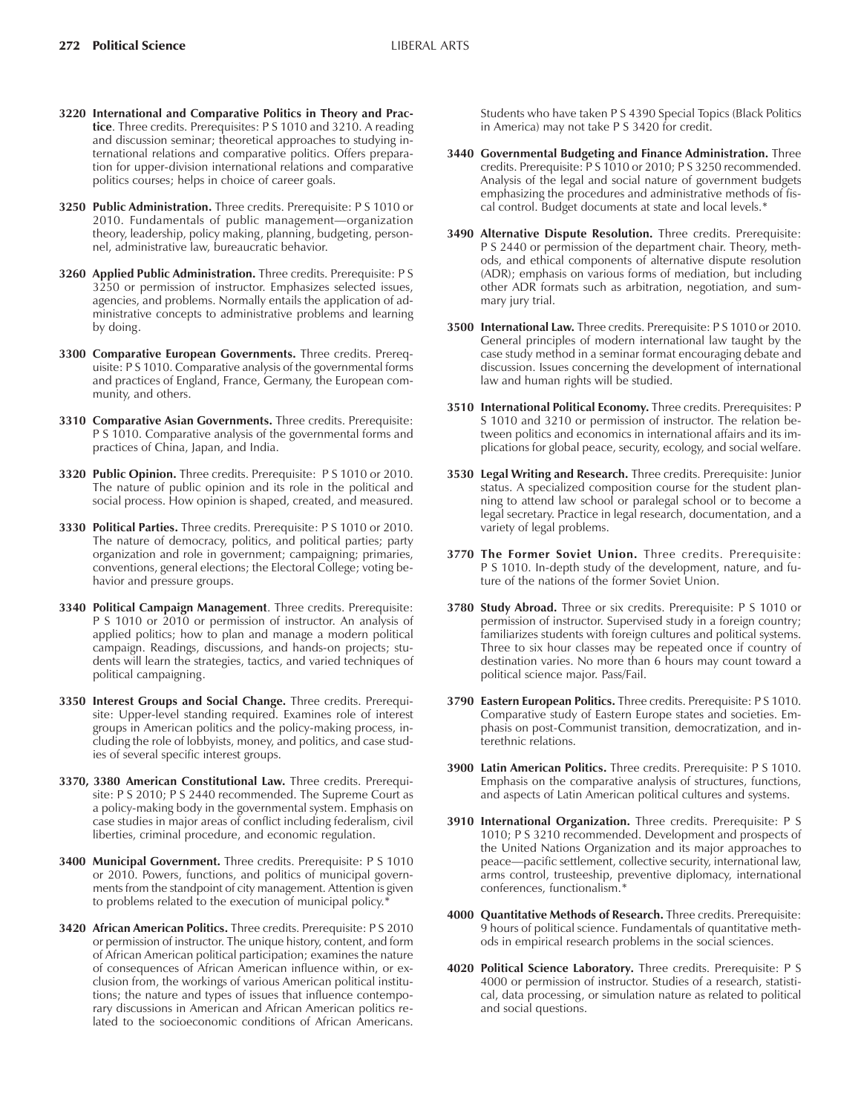- **3220 International and Comparative Politics in Theory and Practice**. Three credits. Prerequisites: P S 1010 and 3210. A reading and discussion seminar; theoretical approaches to studying international relations and comparative politics. Offers preparation for upper-division international relations and comparative politics courses; helps in choice of career goals.
- **3250 Public Administration.** Three credits. Prerequisite: P S 1010 or 2010. Fundamentals of public management—organization theory, leadership, policy making, planning, budgeting, personnel, administrative law, bureaucratic behavior.
- **3260 Applied Public Administration.** Three credits. Prerequisite: P S 3250 or permission of instructor. Emphasizes selected issues, agencies, and problems. Normally entails the application of administrative concepts to administrative problems and learning by doing.
- **3300 Comparative European Governments.** Three credits. Prerequisite: P S 1010. Comparative analysis of the governmental forms and practices of England, France, Germany, the European community, and others.
- **3310 Comparative Asian Governments.** Three credits. Prerequisite: P S 1010. Comparative analysis of the governmental forms and practices of China, Japan, and India.
- **3320 Public Opinion.** Three credits. Prerequisite: P S 1010 or 2010. The nature of public opinion and its role in the political and social process. How opinion is shaped, created, and measured.
- **3330 Political Parties.** Three credits. Prerequisite: P S 1010 or 2010. The nature of democracy, politics, and political parties; party organization and role in government; campaigning; primaries, conventions, general elections; the Electoral College; voting behavior and pressure groups.
- **3340 Political Campaign Management**. Three credits. Prerequisite: P S 1010 or 2010 or permission of instructor. An analysis of applied politics; how to plan and manage a modern political campaign. Readings, discussions, and hands-on projects; students will learn the strategies, tactics, and varied techniques of political campaigning.
- **3350 Interest Groups and Social Change.** Three credits. Prerequisite: Upper-level standing required. Examines role of interest groups in American politics and the policy-making process, including the role of lobbyists, money, and politics, and case studies of several specific interest groups.
- **3370, 3380 American Constitutional Law.** Three credits. Prerequisite: P S 2010; P S 2440 recommended. The Supreme Court as a policy-making body in the governmental system. Emphasis on case studies in major areas of conflict including federalism, civil liberties, criminal procedure, and economic regulation.
- **3400 Municipal Government.** Three credits. Prerequisite: P S 1010 or 2010. Powers, functions, and politics of municipal governments from the standpoint of city management. Attention is given to problems related to the execution of municipal policy.\*
- **3420 African American Politics.** Three credits. Prerequisite: P S 2010 or permission of instructor. The unique history, content, and form of African American political participation; examines the nature of consequences of African American influence within, or exclusion from, the workings of various American political institutions; the nature and types of issues that influence contemporary discussions in American and African American politics related to the socioeconomic conditions of African Americans.

Students who have taken P S 4390 Special Topics (Black Politics in America) may not take P S 3420 for credit.

- **3440 Governmental Budgeting and Finance Administration.** Three credits. Prerequisite: P S 1010 or 2010; P S 3250 recommended. Analysis of the legal and social nature of government budgets emphasizing the procedures and administrative methods of fiscal control. Budget documents at state and local levels.\*
- **3490 Alternative Dispute Resolution.** Three credits. Prerequisite: P S 2440 or permission of the department chair. Theory, methods, and ethical components of alternative dispute resolution (ADR); emphasis on various forms of mediation, but including other ADR formats such as arbitration, negotiation, and summary jury trial.
- **3500 International Law.** Three credits. Prerequisite: P S 1010 or 2010. General principles of modern international law taught by the case study method in a seminar format encouraging debate and discussion. Issues concerning the development of international law and human rights will be studied.
- **3510 International Political Economy.** Three credits. Prerequisites: P S 1010 and 3210 or permission of instructor. The relation between politics and economics in international affairs and its implications for global peace, security, ecology, and social welfare.
- **3530 Legal Writing and Research.** Three credits. Prerequisite: Junior status. A specialized composition course for the student planning to attend law school or paralegal school or to become a legal secretary. Practice in legal research, documentation, and a variety of legal problems.
- **3770 The Former Soviet Union.** Three credits. Prerequisite: P S 1010. In-depth study of the development, nature, and future of the nations of the former Soviet Union.
- **3780 Study Abroad.** Three or six credits. Prerequisite: P S 1010 or permission of instructor. Supervised study in a foreign country; familiarizes students with foreign cultures and political systems. Three to six hour classes may be repeated once if country of destination varies. No more than 6 hours may count toward a political science major. Pass/Fail.
- **3790 Eastern European Politics.** Three credits. Prerequisite: P S 1010. Comparative study of Eastern Europe states and societies. Emphasis on post-Communist transition, democratization, and interethnic relations.
- **3900 Latin American Politics.** Three credits. Prerequisite: P S 1010. Emphasis on the comparative analysis of structures, functions, and aspects of Latin American political cultures and systems.
- **3910 International Organization.** Three credits. Prerequisite: P S 1010; P S 3210 recommended. Development and prospects of the United Nations Organization and its major approaches to peace-pacific settlement, collective security, international law, arms control, trusteeship, preventive diplomacy, international conferences, functionalism.\*
- **4000 Quantitative Methods of Research.** Three credits. Prerequisite: 9 hours of political science. Fundamentals of quantitative methods in empirical research problems in the social sciences.
- **4020 Political Science Laboratory.** Three credits. Prerequisite: P S 4000 or permission of instructor. Studies of a research, statistical, data processing, or simulation nature as related to political and social questions.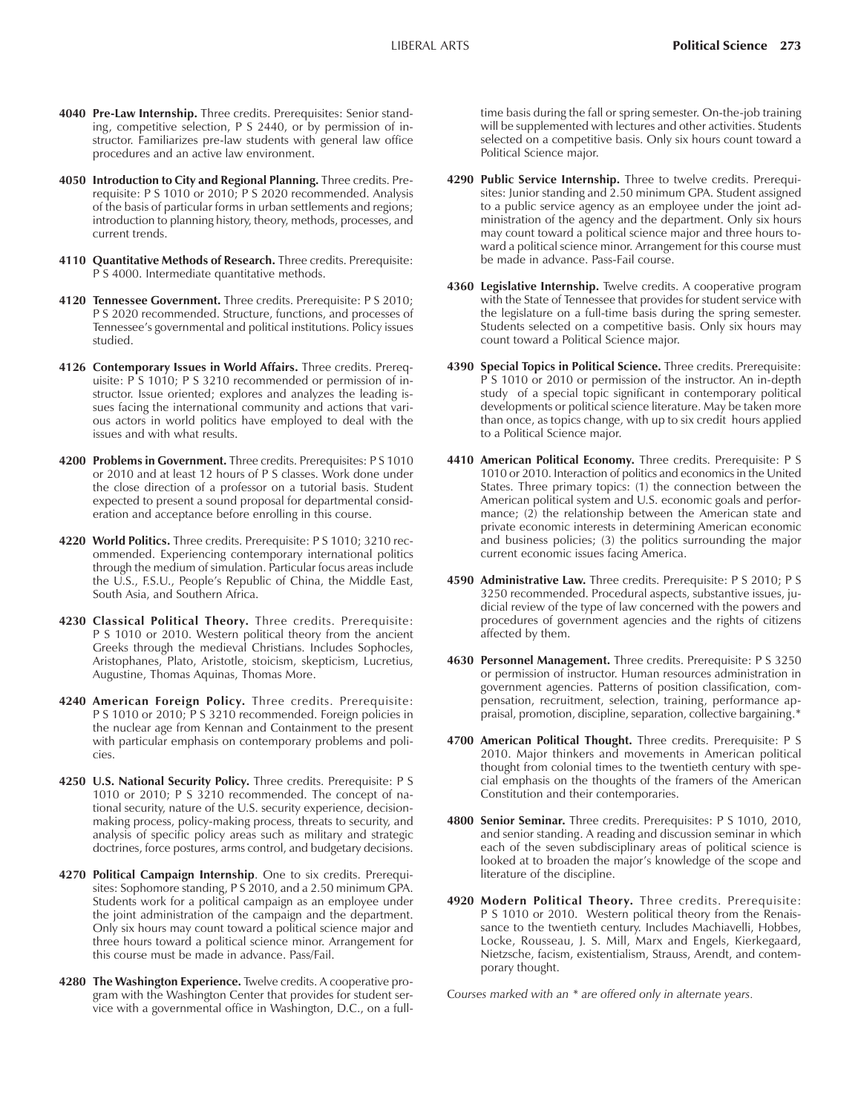- **4040 Pre-Law Internship.** Three credits. Prerequisites: Senior standing, competitive selection, P S 2440, or by permission of instructor. Familiarizes pre-law students with general law office procedures and an active law environment.
- **4050 Introduction to City and Regional Planning.** Three credits. Prerequisite: P S 1010 or 2010; P S 2020 recommended. Analysis of the basis of particular forms in urban settlements and regions; introduction to planning history, theory, methods, processes, and current trends.
- **4110 Quantitative Methods of Research.** Three credits. Prerequisite: P S 4000. Intermediate quantitative methods.
- **4120 Tennessee Government.** Three credits. Prerequisite: P S 2010; P S 2020 recommended. Structure, functions, and processes of Tennessee's governmental and political institutions. Policy issues studied.
- **4126 Contemporary Issues in World Affairs.** Three credits. Prerequisite: P S 1010; P S 3210 recommended or permission of instructor. Issue oriented; explores and analyzes the leading issues facing the international community and actions that various actors in world politics have employed to deal with the issues and with what results.
- **4200 Problems in Government.** Three credits. Prerequisites: P S 1010 or 2010 and at least 12 hours of P S classes. Work done under the close direction of a professor on a tutorial basis. Student expected to present a sound proposal for departmental consideration and acceptance before enrolling in this course.
- **4220 World Politics.** Three credits. Prerequisite: P S 1010; 3210 recommended. Experiencing contemporary international politics through the medium of simulation. Particular focus areas include the U.S., F.S.U., Peopleís Republic of China, the Middle East, South Asia, and Southern Africa.
- **4230 Classical Political Theory.** Three credits. Prerequisite: P S 1010 or 2010. Western political theory from the ancient Greeks through the medieval Christians. Includes Sophocles, Aristophanes, Plato, Aristotle, stoicism, skepticism, Lucretius, Augustine, Thomas Aquinas, Thomas More.
- **4240 American Foreign Policy.** Three credits. Prerequisite: P S 1010 or 2010; P S 3210 recommended. Foreign policies in the nuclear age from Kennan and Containment to the present with particular emphasis on contemporary problems and policies.
- **4250 U.S. National Security Policy.** Three credits. Prerequisite: P S 1010 or 2010; P S 3210 recommended. The concept of national security, nature of the U.S. security experience, decisionmaking process, policy-making process, threats to security, and analysis of specific policy areas such as military and strategic doctrines, force postures, arms control, and budgetary decisions.
- **4270 Political Campaign Internship**. One to six credits. Prerequisites: Sophomore standing, P S 2010, and a 2.50 minimum GPA. Students work for a political campaign as an employee under the joint administration of the campaign and the department. Only six hours may count toward a political science major and three hours toward a political science minor. Arrangement for this course must be made in advance. Pass/Fail.
- **4280 The Washington Experience.** Twelve credits. A cooperative program with the Washington Center that provides for student service with a governmental office in Washington, D.C., on a full-

time basis during the fall or spring semester. On-the-job training will be supplemented with lectures and other activities. Students selected on a competitive basis. Only six hours count toward a Political Science major.

- **4290 Public Service Internship.** Three to twelve credits. Prerequisites: Junior standing and 2.50 minimum GPA. Student assigned to a public service agency as an employee under the joint administration of the agency and the department. Only six hours may count toward a political science major and three hours toward a political science minor. Arrangement for this course must be made in advance. Pass-Fail course.
- **4360 Legislative Internship.** Twelve credits. A cooperative program with the State of Tennessee that provides for student service with the legislature on a full-time basis during the spring semester. Students selected on a competitive basis. Only six hours may count toward a Political Science major.
- **4390 Special Topics in Political Science.** Three credits. Prerequisite: P S 1010 or 2010 or permission of the instructor. An in-depth study of a special topic significant in contemporary political developments or political science literature. May be taken more than once, as topics change, with up to six credit hours applied to a Political Science major.
- **4410 American Political Economy.** Three credits. Prerequisite: P S 1010 or 2010. Interaction of politics and economics in the United States. Three primary topics: (1) the connection between the American political system and U.S. economic goals and performance; (2) the relationship between the American state and private economic interests in determining American economic and business policies; (3) the politics surrounding the major current economic issues facing America.
- **4590 Administrative Law.** Three credits. Prerequisite: P S 2010; P S 3250 recommended. Procedural aspects, substantive issues, judicial review of the type of law concerned with the powers and procedures of government agencies and the rights of citizens affected by them.
- **4630 Personnel Management.** Three credits. Prerequisite: P S 3250 or permission of instructor. Human resources administration in government agencies. Patterns of position classification, compensation, recruitment, selection, training, performance appraisal, promotion, discipline, separation, collective bargaining.\*
- **4700 American Political Thought.** Three credits. Prerequisite: P S 2010. Major thinkers and movements in American political thought from colonial times to the twentieth century with special emphasis on the thoughts of the framers of the American Constitution and their contemporaries.
- **4800 Senior Seminar.** Three credits. Prerequisites: P S 1010, 2010, and senior standing. A reading and discussion seminar in which each of the seven subdisciplinary areas of political science is looked at to broaden the major's knowledge of the scope and literature of the discipline.
- **4920 Modern Political Theory.** Three credits. Prerequisite: P S 1010 or 2010. Western political theory from the Renaissance to the twentieth century. Includes Machiavelli, Hobbes, Locke, Rousseau, J. S. Mill, Marx and Engels, Kierkegaard, Nietzsche, facism, existentialism, Strauss, Arendt, and contemporary thought.

C*ourses marked with an \* are offered only in alternate years.*